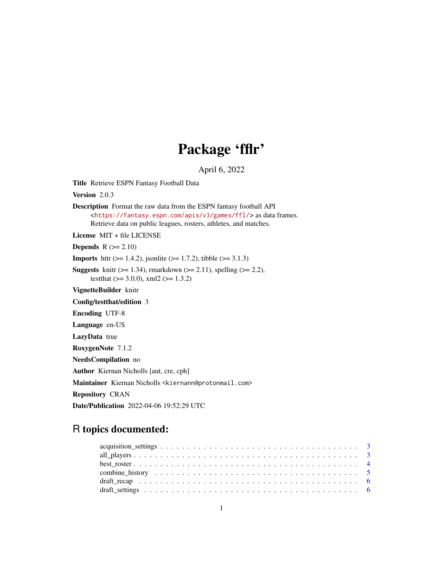# Package 'fflr'

April 6, 2022

<span id="page-0-0"></span>Title Retrieve ESPN Fantasy Football Data

Version 2.0.3

Description Format the raw data from the ESPN fantasy football API <<https://fantasy.espn.com/apis/v3/games/ffl/>> as data frames. Retrieve data on public leagues, rosters, athletes, and matches.

License MIT + file LICENSE

**Depends**  $R$  ( $>= 2.10$ )

**Imports** httr ( $> = 1.4.2$ ), jsonlite ( $> = 1.7.2$ ), tibble ( $> = 3.1.3$ )

**Suggests** knitr ( $>= 1.34$ ), rmarkdown ( $>= 2.11$ ), spelling ( $>= 2.2$ ), testthat  $(>= 3.0.0)$ , xml2  $(>= 1.3.2)$ 

VignetteBuilder knitr

# Config/testthat/edition 3

Encoding UTF-8

Language en-US

LazyData true

RoxygenNote 7.1.2

NeedsCompilation no

Author Kiernan Nicholls [aut, cre, cph]

Maintainer Kiernan Nicholls <kiernann@protonmail.com>

Repository CRAN

Date/Publication 2022-04-06 19:52:29 UTC

# R topics documented: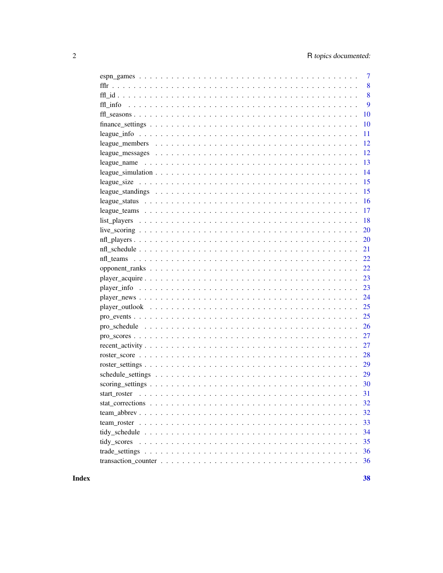| 7  |
|----|
| 8  |
| 8  |
| 9  |
| 10 |
| 10 |
| 11 |
| 12 |
| 12 |
| 13 |
| 14 |
| 15 |
| 15 |
| 16 |
| 17 |
| 18 |
| 20 |
| 20 |
| 21 |
| 22 |
| 22 |
| 23 |
| 23 |
| 24 |
| 25 |
| 25 |
| 26 |
| 27 |
| 27 |
| 28 |
| 29 |
|    |
|    |
|    |
| 32 |
| 32 |
| 33 |
| 34 |
| 35 |
| 36 |
| 36 |
|    |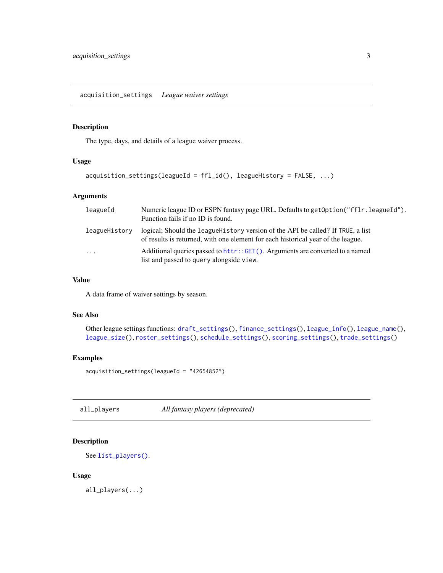<span id="page-2-1"></span><span id="page-2-0"></span>acquisition\_settings *League waiver settings*

# Description

The type, days, and details of a league waiver process.

#### Usage

```
acquisition_settings(leagueId = ffl_id(), leagueHistory = FALSE, ...)
```
# Arguments

| leagueId      | Numeric league ID or ESPN fantasy page URL. Defaults to get Option ("ff Ir. league Id").<br>Function fails if no ID is found.                                        |
|---------------|----------------------------------------------------------------------------------------------------------------------------------------------------------------------|
| leagueHistory | logical; Should the league History version of the API be called? If TRUE, a list<br>of results is returned, with one element for each historical year of the league. |
| $\cdots$      | Additional queries passed to httr::GET(). Arguments are converted to a named<br>list and passed to query alongside view.                                             |

#### Value

A data frame of waiver settings by season.

#### See Also

```
Other league settings functions: draft_settings(), finance_settings(), league_info(), league_name(),
league_size(), roster_settings(), schedule_settings(), scoring_settings(), trade_settings()
```
# Examples

acquisition\_settings(leagueId = "42654852")

<span id="page-2-2"></span>all\_players *All fantasy players (deprecated)*

# Description

```
See list_players().
```
#### Usage

all\_players(...)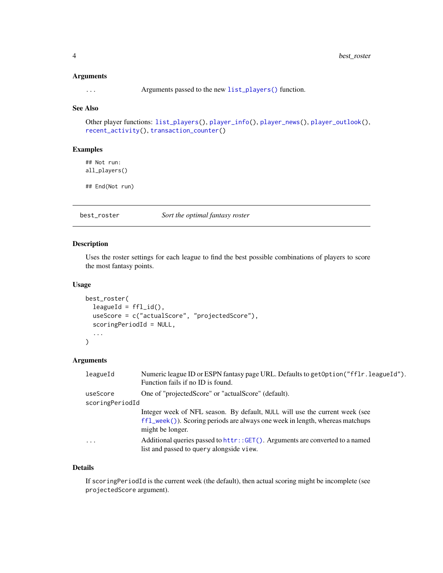#### <span id="page-3-0"></span>Arguments

... Arguments passed to the new [list\\_players\(\)](#page-17-1) function.

# See Also

```
Other player functions: list_players(), player_info(), player_news(), player_outlook(),
recent_activity(), transaction_counter()
```
#### Examples

## Not run: all\_players()

## End(Not run)

<span id="page-3-1"></span>best\_roster *Sort the optimal fantasy roster*

#### Description

Uses the roster settings for each league to find the best possible combinations of players to score the most fantasy points.

#### Usage

```
best_roster(
  leagueld = ffl_id(),useScore = c("actualScore", "projectedScore"),
  scoringPeriodId = NULL,
  ...
)
```
#### Arguments

| leagueId        | Numeric league ID or ESPN fantasy page URL. Defaults to get Option ("fflr. league Id").<br>Function fails if no ID is found.                                                      |  |
|-----------------|-----------------------------------------------------------------------------------------------------------------------------------------------------------------------------------|--|
| useScore        | One of "projectedScore" or "actualScore" (default).                                                                                                                               |  |
| scoringPeriodId |                                                                                                                                                                                   |  |
|                 | Integer week of NFL season. By default, NULL will use the current week (see<br>$ff1$ week()). Scoring periods are always one week in length, whereas matchups<br>might be longer. |  |
| $\ddotsc$       | Additional queries passed to httr::GET(). Arguments are converted to a named<br>list and passed to query alongside view.                                                          |  |

#### Details

If scoringPeriodId is the current week (the default), then actual scoring might be incomplete (see projectedScore argument).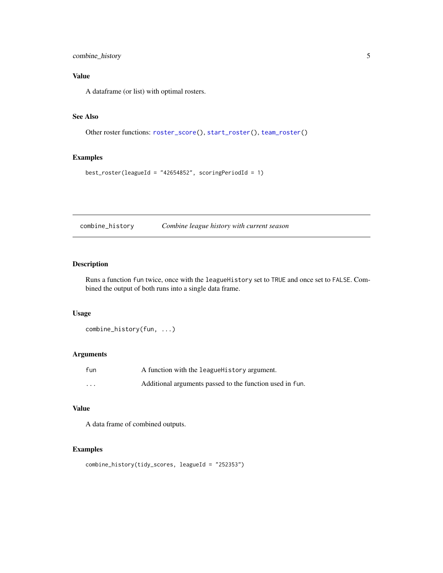# <span id="page-4-0"></span>combine\_history 5

# Value

A dataframe (or list) with optimal rosters.

#### See Also

```
Other roster functions: roster_score(), start_roster(), team_roster()
```
# Examples

```
best_roster(leagueId = "42654852", scoringPeriodId = 1)
```
combine\_history *Combine league history with current season*

#### Description

Runs a function fun twice, once with the leagueHistory set to TRUE and once set to FALSE. Combined the output of both runs into a single data frame.

#### Usage

combine\_history(fun, ...)

# Arguments

| fun      | A function with the league History argument.             |
|----------|----------------------------------------------------------|
| $\cdots$ | Additional arguments passed to the function used in fun. |

#### Value

A data frame of combined outputs.

# Examples

```
combine_history(tidy_scores, leagueId = "252353")
```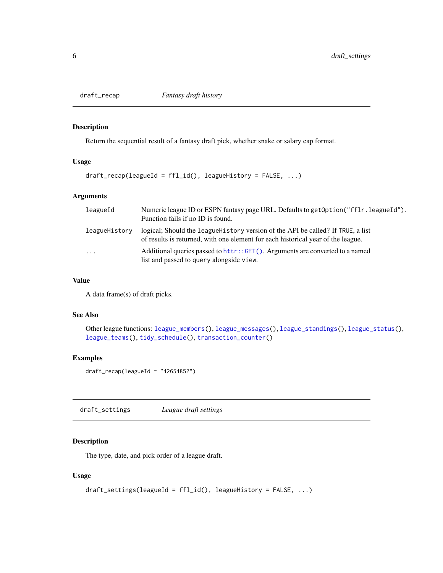<span id="page-5-2"></span><span id="page-5-0"></span>

Return the sequential result of a fantasy draft pick, whether snake or salary cap format.

# Usage

```
draft_recap(leagueId = ffl_id(), leagueHistory = FALSE, ...)
```
# Arguments

| leagueId      | Numeric league ID or ESPN fantasy page URL. Defaults to get Option ("ff Ir. league Id").<br>Function fails if no ID is found.                                        |
|---------------|----------------------------------------------------------------------------------------------------------------------------------------------------------------------|
| leagueHistory | logical; Should the league History version of the API be called? If TRUE, a list<br>of results is returned, with one element for each historical year of the league. |
| $\cdots$      | Additional queries passed to httr:: GET(). Arguments are converted to a named<br>list and passed to query alongside view.                                            |

#### Value

A data frame(s) of draft picks.

#### See Also

Other league functions: [league\\_members\(](#page-11-1)), [league\\_messages\(](#page-11-2)), [league\\_standings\(](#page-14-2)), [league\\_status\(](#page-15-1)), [league\\_teams\(](#page-16-1)), [tidy\\_schedule\(](#page-33-1)), [transaction\\_counter\(](#page-35-2))

# Examples

```
draff\_recap(leagueId = "42654852")
```
<span id="page-5-1"></span>draft\_settings *League draft settings*

# Description

The type, date, and pick order of a league draft.

#### Usage

```
draft_settings(leagueId = ffl_id(), leagueHistory = FALSE, ...)
```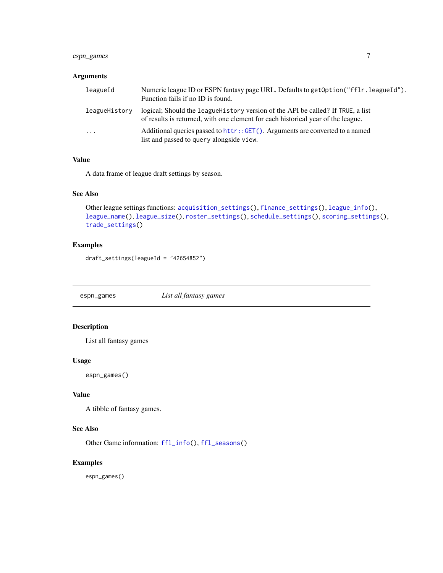# <span id="page-6-0"></span>espn\_games 7

#### Arguments

| leagueId      | Numeric league ID or ESPN fantasy page URL. Defaults to get Option ("ff Ir. league Id").<br>Function fails if no ID is found.                                        |
|---------------|----------------------------------------------------------------------------------------------------------------------------------------------------------------------|
| leagueHistory | logical; Should the league History version of the API be called? If TRUE, a list<br>of results is returned, with one element for each historical year of the league. |
| $\cdots$      | Additional queries passed to httr:: GET(). Arguments are converted to a named<br>list and passed to query alongside view.                                            |

# Value

A data frame of league draft settings by season.

#### See Also

```
Other league settings functions: acquisition_settings(), finance_settings(), league_info(),
league_name(), league_size(), roster_settings(), schedule_settings(), scoring_settings(),
trade_settings()
```
# Examples

draft\_settings(leagueId = "42654852")

<span id="page-6-1"></span>espn\_games *List all fantasy games*

# Description

List all fantasy games

#### Usage

espn\_games()

#### Value

A tibble of fantasy games.

#### See Also

Other Game information: [ffl\\_info\(](#page-8-2)), [ffl\\_seasons\(](#page-9-2))

# Examples

espn\_games()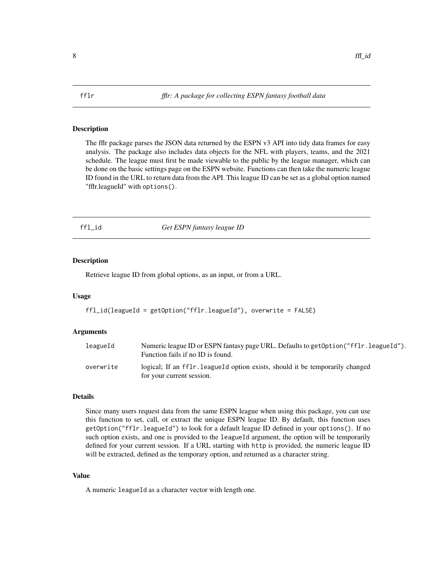<span id="page-7-0"></span>The fflr package parses the JSON data returned by the ESPN v3 API into tidy data frames for easy analysis. The package also includes data objects for the NFL with players, teams, and the 2021 schedule. The league must first be made viewable to the public by the league manager, which can be done on the basic settings page on the ESPN website. Functions can then take the numeric league ID found in the URL to return data from the API. This league ID can be set as a global option named "fflr.leagueId" with options().

ffl\_id *Get ESPN fantasy league ID*

#### Description

Retrieve league ID from global options, as an input, or from a URL.

#### Usage

ffl\_id(leagueId = getOption("fflr.leagueId"), overwrite = FALSE)

#### Arguments

| leagueId  | Numeric league ID or ESPN fantasy page URL. Defaults to get Option ("ff Ir. league Id").<br>Function fails if no ID is found. |
|-----------|-------------------------------------------------------------------------------------------------------------------------------|
| overwrite | logical; If an fflr. leagueld option exists, should it be temporarily changed<br>for your current session.                    |

#### Details

Since many users request data from the same ESPN league when using this package, you can use this function to set, call, or extract the unique ESPN league ID. By default, this function uses getOption("fflr.leagueId") to look for a default league ID defined in your options(). If no such option exists, and one is provided to the leagueId argument, the option will be temporarily defined for your current session. If a URL starting with http is provided, the numeric league ID will be extracted, defined as the temporary option, and returned as a character string.

#### Value

A numeric leagueId as a character vector with length one.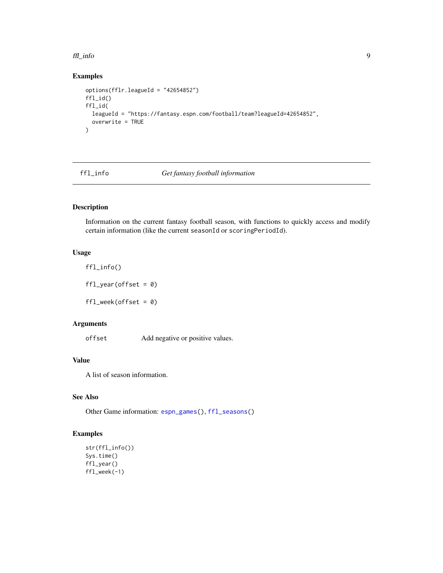#### <span id="page-8-0"></span>ffl\_info 9

# Examples

```
options(fflr.leagueId = "42654852")
ffl_id()
ffl_id(
  leagueId = "https://fantasy.espn.com/football/team?leagueId=42654852",
  overwrite = TRUE
)
```
<span id="page-8-2"></span>

#### ffl\_info *Get fantasy football information*

# <span id="page-8-1"></span>Description

Information on the current fantasy football season, with functions to quickly access and modify certain information (like the current seasonId or scoringPeriodId).

# Usage

ffl\_info()  $ffl_year(offset = 0)$ ffl\_week(offset = 0)

# Arguments

offset Add negative or positive values.

#### Value

A list of season information.

#### See Also

Other Game information: [espn\\_games\(](#page-6-1)), [ffl\\_seasons\(](#page-9-2))

# Examples

```
str(ffl_info())
Sys.time()
ffl_year()
ffl_week(-1)
```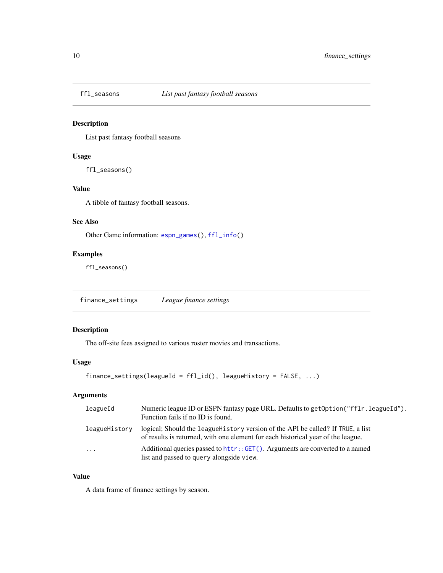<span id="page-9-2"></span><span id="page-9-0"></span>

List past fantasy football seasons

# Usage

ffl\_seasons()

#### Value

A tibble of fantasy football seasons.

#### See Also

Other Game information: [espn\\_games\(](#page-6-1)), [ffl\\_info\(](#page-8-2))

# Examples

ffl\_seasons()

<span id="page-9-1"></span>finance\_settings *League finance settings*

# Description

The off-site fees assigned to various roster movies and transactions.

# Usage

```
finance_settings(leagueId = ffl_id(), leagueHistory = FALSE, ...)
```
# Arguments

| leagueId      | Numeric league ID or ESPN fantasy page URL. Defaults to get Option ("ff Ir. league Id").<br>Function fails if no ID is found.                                        |
|---------------|----------------------------------------------------------------------------------------------------------------------------------------------------------------------|
| leagueHistory | logical; Should the league History version of the API be called? If TRUE, a list<br>of results is returned, with one element for each historical year of the league. |
| $\ddotsc$     | Additional queries passed to httr::GET(). Arguments are converted to a named<br>list and passed to query alongside view.                                             |

#### Value

A data frame of finance settings by season.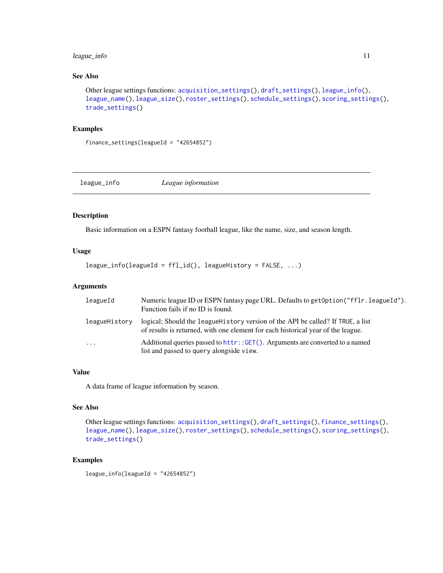# <span id="page-10-0"></span>league\_info 11

#### See Also

```
Other league settings functions: acquisition_settings(), draft_settings(), league_info(),
league_name(), league_size(), roster_settings(), schedule_settings(), scoring_settings(),
trade_settings()
```
#### Examples

finance\_settings(leagueId = "42654852")

<span id="page-10-1"></span>league\_info *League information*

#### Description

Basic information on a ESPN fantasy football league, like the name, size, and season length.

# Usage

league\_info(leagueId = ffl\_id(), leagueHistory = FALSE, ...)

# Arguments

| leagueId            | Numeric league ID or ESPN fantasy page URL. Defaults to get Option ("fflr. league Id").<br>Function fails if no ID is found.                                         |
|---------------------|----------------------------------------------------------------------------------------------------------------------------------------------------------------------|
| leagueHistory       | logical; Should the league History version of the API be called? If TRUE, a list<br>of results is returned, with one element for each historical year of the league. |
| $\cdot \cdot \cdot$ | Additional queries passed to httr::GET(). Arguments are converted to a named<br>list and passed to query alongside view.                                             |

#### Value

A data frame of league information by season.

#### See Also

```
Other league settings functions: acquisition_settings(), draft_settings(), finance_settings(),
league_name(), league_size(), roster_settings(), schedule_settings(), scoring_settings(),
trade_settings()
```
#### Examples

league\_info(leagueId = "42654852")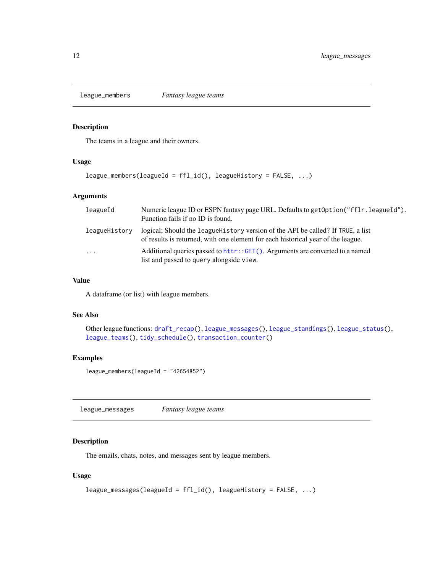<span id="page-11-1"></span><span id="page-11-0"></span>league\_members *Fantasy league teams*

# Description

The teams in a league and their owners.

#### Usage

```
league_members(leagueId = ffl_id(), leagueHistory = FALSE, ...)
```
#### Arguments

| leagueId      | Numeric league ID or ESPN fantasy page URL. Defaults to get Option ("ff Ir. league Id").<br>Function fails if no ID is found.                                        |
|---------------|----------------------------------------------------------------------------------------------------------------------------------------------------------------------|
| leagueHistory | logical; Should the league History version of the API be called? If TRUE, a list<br>of results is returned, with one element for each historical year of the league. |
| $\cdots$      | Additional queries passed to httr:: GET(). Arguments are converted to a named<br>list and passed to query alongside view.                                            |

#### Value

A dataframe (or list) with league members.

#### See Also

```
Other league functions: draft_recap(), league_messages(), league_standings(), league_status(),
league_teams(), tidy_schedule(), transaction_counter()
```
# Examples

league\_members(leagueId = "42654852")

<span id="page-11-2"></span>league\_messages *Fantasy league teams*

# Description

The emails, chats, notes, and messages sent by league members.

#### Usage

```
league_messages(leagueId = ffl_id(), leagueHistory = FALSE, ...)
```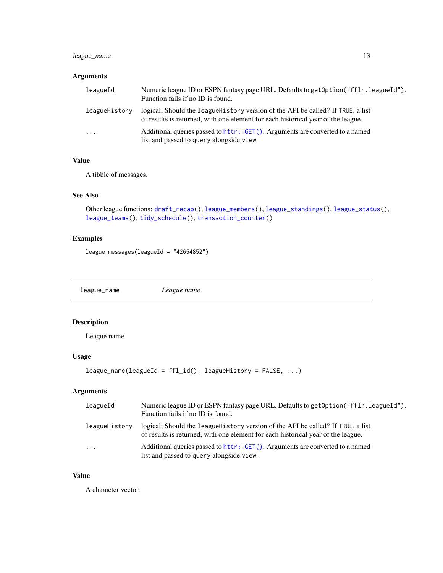# <span id="page-12-0"></span>league\_name 13

# Arguments

| leagueId      | Numeric league ID or ESPN fantasy page URL. Defaults to get Option ("fflr. league Id").<br>Function fails if no ID is found.                                         |
|---------------|----------------------------------------------------------------------------------------------------------------------------------------------------------------------|
| leagueHistory | logical; Should the league History version of the API be called? If TRUE, a list<br>of results is returned, with one element for each historical year of the league. |
| $\cdots$      | Additional queries passed to httr::GET(). Arguments are converted to a named<br>list and passed to query alongside view.                                             |

# Value

A tibble of messages.

#### See Also

```
Other league functions: draft_recap(), league_members(), league_standings(), league_status(),
league_teams(), tidy_schedule(), transaction_counter()
```
# Examples

league\_messages(leagueId = "42654852")

<span id="page-12-1"></span>league\_name *League name*

# Description

League name

#### Usage

```
league_name(leagueId = ffl_id(), leagueHistory = FALSE, ...)
```
# Arguments

| leagueId      | Numeric league ID or ESPN fantasy page URL. Defaults to get Option ("fflr. league Id").<br>Function fails if no ID is found.                                         |
|---------------|----------------------------------------------------------------------------------------------------------------------------------------------------------------------|
| leagueHistory | logical; Should the league History version of the API be called? If TRUE, a list<br>of results is returned, with one element for each historical year of the league. |
| $\cdots$      | Additional queries passed to httr::GET(). Arguments are converted to a named<br>list and passed to query alongside view.                                             |

#### Value

A character vector.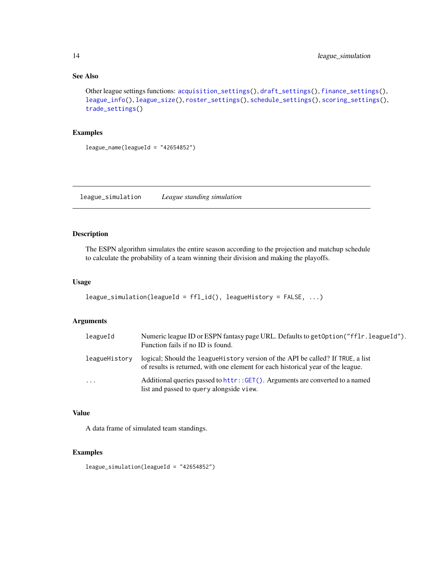#### See Also

```
Other league settings functions: acquisition_settings(), draft_settings(), finance_settings(),
league_info(), league_size(), roster_settings(), schedule_settings(), scoring_settings(),
trade_settings()
```
#### Examples

 $league_name(leagueId = "42654852")$ 

league\_simulation *League standing simulation*

# Description

The ESPN algorithm simulates the entire season according to the projection and matchup schedule to calculate the probability of a team winning their division and making the playoffs.

#### Usage

```
league_simulation(leagueId = ffl_id(), leagueHistory = FALSE, ...)
```
#### Arguments

| leagueId            | Numeric league ID or ESPN fantasy page URL. Defaults to get Option ("fflr. league Id").<br>Function fails if no ID is found.                                         |
|---------------------|----------------------------------------------------------------------------------------------------------------------------------------------------------------------|
| leagueHistory       | logical; Should the league History version of the API be called? If TRUE, a list<br>of results is returned, with one element for each historical year of the league. |
| $\cdot \cdot \cdot$ | Additional queries passed to httr::GET(). Arguments are converted to a named<br>list and passed to query alongside view.                                             |

#### Value

A data frame of simulated team standings.

#### Examples

league\_simulation(leagueId = "42654852")

<span id="page-13-0"></span>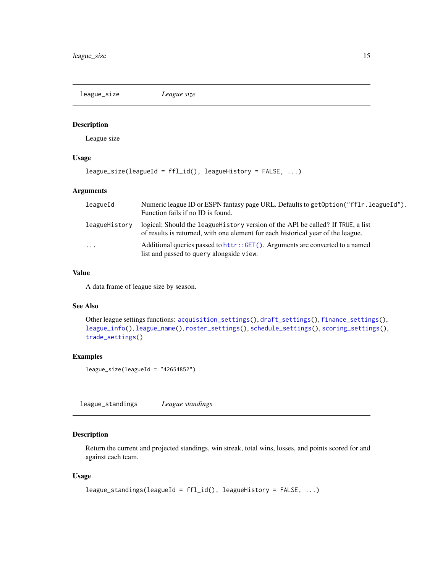<span id="page-14-1"></span><span id="page-14-0"></span>league\_size *League size*

# Description

League size

# Usage

```
league_size(leagueId = ffl_id(), leagueHistory = FALSE, ...)
```
# Arguments

| leagueId                | Numeric league ID or ESPN fantasy page URL. Defaults to get Option ("ff Ir. league Id").<br>Function fails if no ID is found.                                        |
|-------------------------|----------------------------------------------------------------------------------------------------------------------------------------------------------------------|
| leagueHistory           | logical; Should the league History version of the API be called? If TRUE, a list<br>of results is returned, with one element for each historical year of the league. |
| $\cdot$ $\cdot$ $\cdot$ | Additional queries passed to httr::GET(). Arguments are converted to a named<br>list and passed to query alongside view.                                             |

#### Value

A data frame of league size by season.

# See Also

```
Other league settings functions: acquisition_settings(), draft_settings(), finance_settings(),
league_info(), league_name(), roster_settings(), schedule_settings(), scoring_settings(),
trade_settings()
```
# Examples

league\_size(leagueId = "42654852")

<span id="page-14-2"></span>league\_standings *League standings*

# Description

Return the current and projected standings, win streak, total wins, losses, and points scored for and against each team.

#### Usage

```
league_standings(leagueId = ffl_id(), leagueHistory = FALSE, ...)
```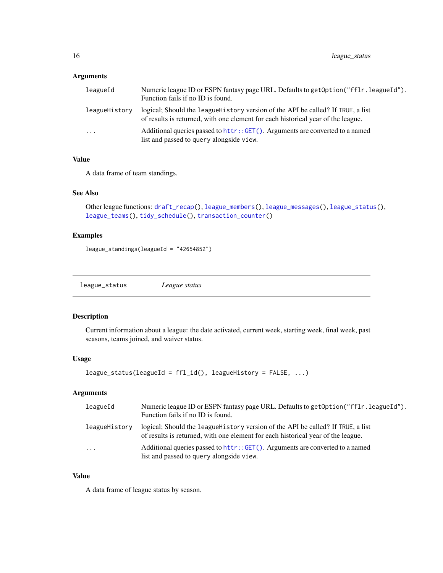# <span id="page-15-0"></span>Arguments

| leagueId      | Numeric league ID or ESPN fantasy page URL. Defaults to get Option ("fflr. league Id").<br>Function fails if no ID is found.                                         |
|---------------|----------------------------------------------------------------------------------------------------------------------------------------------------------------------|
| leagueHistory | logical; Should the league History version of the API be called? If TRUE, a list<br>of results is returned, with one element for each historical year of the league. |
| $\cdot$       | Additional queries passed to httr::GET(). Arguments are converted to a named<br>list and passed to query alongside view.                                             |

# Value

A data frame of team standings.

#### See Also

```
Other league functions: draft_recap(), league_members(), league_messages(), league_status(),
league_teams(), tidy_schedule(), transaction_counter()
```
# Examples

league\_standings(leagueId = "42654852")

<span id="page-15-1"></span>league\_status *League status*

# Description

Current information about a league: the date activated, current week, starting week, final week, past seasons, teams joined, and waiver status.

#### Usage

```
league_status(leagueId = ffl_id(), leagueHistory = FALSE, ...)
```
# Arguments

| leagueId      | Numeric league ID or ESPN fantasy page URL. Defaults to get Option ("ff Ir. league Id").<br>Function fails if no ID is found.                                        |
|---------------|----------------------------------------------------------------------------------------------------------------------------------------------------------------------|
| leagueHistory | logical; Should the league History version of the API be called? If TRUE, a list<br>of results is returned, with one element for each historical year of the league. |
| $\cdots$      | Additional queries passed to httr:: GET(). Arguments are converted to a named<br>list and passed to query alongside view.                                            |

#### Value

A data frame of league status by season.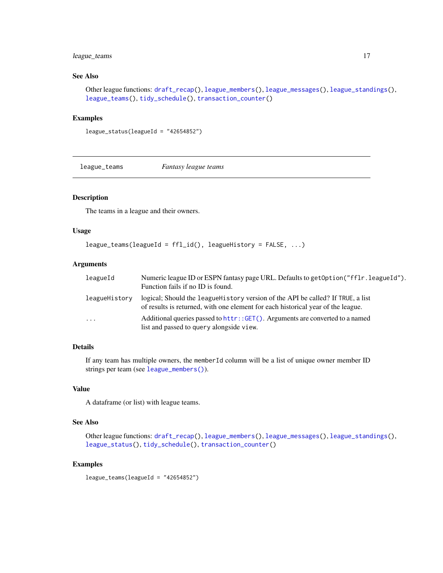# <span id="page-16-0"></span>league\_teams 17

#### See Also

Other league functions: [draft\\_recap\(](#page-5-2)), [league\\_members\(](#page-11-1)), [league\\_messages\(](#page-11-2)), [league\\_standings\(](#page-14-2)), [league\\_teams\(](#page-16-1)), [tidy\\_schedule\(](#page-33-1)), [transaction\\_counter\(](#page-35-2))

#### Examples

```
league_status(leagueId = "42654852")
```
<span id="page-16-1"></span>league\_teams *Fantasy league teams*

#### Description

The teams in a league and their owners.

#### Usage

```
league_teams(leagueId = ffl_id(), leagueHistory = FALSE, ...)
```
# Arguments

| leagueId      | Numeric league ID or ESPN fantasy page URL. Defaults to get Option ("ff Ir. league Id").<br>Function fails if no ID is found.                                        |
|---------------|----------------------------------------------------------------------------------------------------------------------------------------------------------------------|
| leagueHistory | logical; Should the league History version of the API be called? If TRUE, a list<br>of results is returned, with one element for each historical year of the league. |
| $\ddots$      | Additional queries passed to httr::GET(). Arguments are converted to a named<br>list and passed to query alongside view.                                             |

#### Details

If any team has multiple owners, the memberId column will be a list of unique owner member ID strings per team (see [league\\_members\(\)](#page-11-1)).

#### Value

A dataframe (or list) with league teams.

#### See Also

Other league functions: [draft\\_recap\(](#page-5-2)), [league\\_members\(](#page-11-1)), [league\\_messages\(](#page-11-2)), [league\\_standings\(](#page-14-2)), [league\\_status\(](#page-15-1)), [tidy\\_schedule\(](#page-33-1)), [transaction\\_counter\(](#page-35-2))

#### Examples

```
league_teams(leagueId = "42654852")
```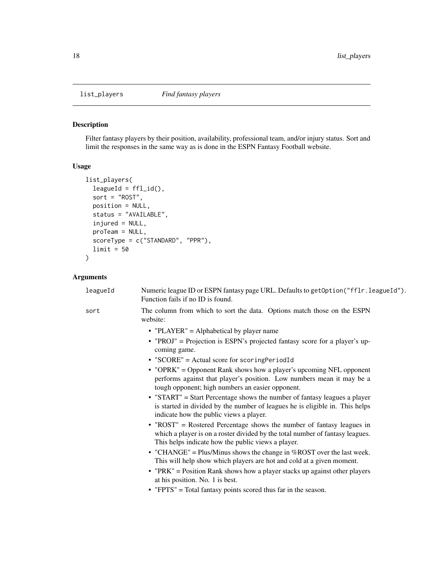<span id="page-17-1"></span><span id="page-17-0"></span>

Filter fantasy players by their position, availability, professional team, and/or injury status. Sort and limit the responses in the same way as is done in the ESPN Fantasy Football website.

# Usage

```
list_players(
 leagueld = ffl_id(),sort = "ROST",position = NULL,
  status = "AVAILABLE",
  injured = NULL,
 proTeam = NULL,
  scoreType = c("STANDARD", "PPR"),
 limit = 50
)
```
# Arguments

|  | leagueId | Numeric league ID or ESPN fantasy page URL. Defaults to get Option ("fflr. league Id").<br>Function fails if no ID is found.                                                                                 |
|--|----------|--------------------------------------------------------------------------------------------------------------------------------------------------------------------------------------------------------------|
|  | sort     | The column from which to sort the data. Options match those on the ESPN<br>website:                                                                                                                          |
|  |          | • "PLAYER" = Alphabetical by player name                                                                                                                                                                     |
|  |          | • "PROJ" = Projection is ESPN's projected fantasy score for a player's up-<br>coming game.                                                                                                                   |
|  |          | • "SCORE" = Actual score for scoringPeriodId                                                                                                                                                                 |
|  |          | • "OPRK" = Opponent Rank shows how a player's upcoming NFL opponent<br>performs against that player's position. Low numbers mean it may be a<br>tough opponent; high numbers an easier opponent.             |
|  |          | • "START" = Start Percentage shows the number of fantasy leagues a player<br>is started in divided by the number of leagues he is eligible in. This helps<br>indicate how the public views a player.         |
|  |          | • "ROST" = Rostered Percentage shows the number of fantasy leagues in<br>which a player is on a roster divided by the total number of fantasy leagues.<br>This helps indicate how the public views a player. |
|  |          | • "CHANGE" = Plus/Minus shows the change in $%$ ROST over the last week.<br>This will help show which players are hot and cold at a given moment.                                                            |
|  |          | • "PRK" = Position Rank shows how a player stacks up against other players<br>at his position. No. 1 is best.                                                                                                |
|  |          | • "FPTS" = Total fantasy points scored thus far in the season.                                                                                                                                               |
|  |          |                                                                                                                                                                                                              |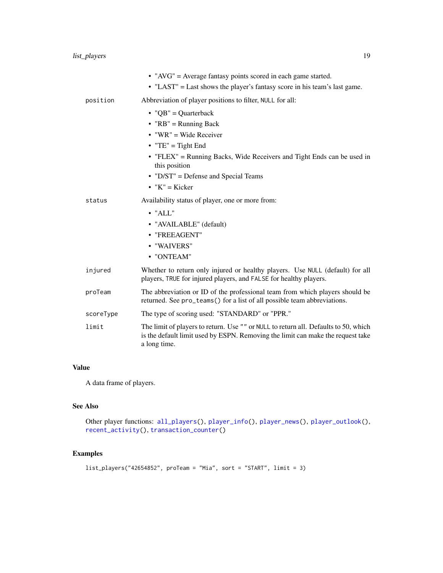<span id="page-18-0"></span>

|           | • " $AVG$ " = Average fantasy points scored in each game started.<br>• "LAST" = Last shows the player's fantasy score in his team's last game.                                                                                                                                 |
|-----------|--------------------------------------------------------------------------------------------------------------------------------------------------------------------------------------------------------------------------------------------------------------------------------|
| position  | Abbreviation of player positions to filter, NULL for all:                                                                                                                                                                                                                      |
|           | • "QB" = Quarterback<br>• " $RB$ " = Running Back<br>$\bullet$ "WR" = Wide Receiver<br>• "TE" = Tight End<br>• "FLEX" = Running Backs, Wide Receivers and Tight Ends can be used in<br>this position<br>$\bullet$ "D/ST" = Defense and Special Teams<br>$\bullet$ "K" = Kicker |
| status    | Availability status of player, one or more from:<br>$\bullet$ "ALL"<br>• "AVAILABLE" (default)<br>• "FREEAGENT"<br>• "WAIVERS"<br>• "ONTEAM"                                                                                                                                   |
| injured   | Whether to return only injured or healthy players. Use NULL (default) for all<br>players, TRUE for injured players, and FALSE for healthy players.                                                                                                                             |
| proTeam   | The abbreviation or ID of the professional team from which players should be<br>returned. See pro_teams() for a list of all possible team abbreviations.                                                                                                                       |
| scoreType | The type of scoring used: "STANDARD" or "PPR."                                                                                                                                                                                                                                 |
| limit     | The limit of players to return. Use "" or NULL to return all. Defaults to 50, which<br>is the default limit used by ESPN. Removing the limit can make the request take<br>a long time.                                                                                         |

# Value

A data frame of players.

# See Also

```
Other player functions: all_players(), player_info(), player_news(), player_outlook(),
recent_activity(), transaction_counter()
```
# Examples

```
list_players("42654852", proTeam = "Mia", sort = "START", limit = 3)
```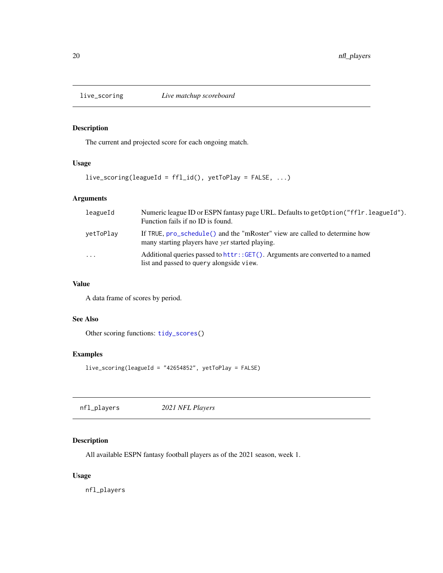<span id="page-19-1"></span><span id="page-19-0"></span>

The current and projected score for each ongoing match.

# Usage

```
live_scoring(leagueId = ffl_id(), yetToPlay = FALSE, ...)
```
# Arguments

| leagueId  | Numeric league ID or ESPN fantasy page URL. Defaults to get Option ("fflr. league Id").<br>Function fails if no ID is found.         |
|-----------|--------------------------------------------------------------------------------------------------------------------------------------|
| vetToPlay | If TRUE, pro_schedule() and the "mRoster" view are called to determine how<br>many starting players have <i>vet</i> started playing. |
| .         | Additional queries passed to httr::GET(). Arguments are converted to a named<br>list and passed to query alongside view.             |

#### Value

A data frame of scores by period.

#### See Also

Other scoring functions: [tidy\\_scores\(](#page-34-1))

# Examples

```
live_scoring(leagueId = "42654852", yetToPlay = FALSE)
```

| nfl_players | 2021 NFL Players |  |
|-------------|------------------|--|
|-------------|------------------|--|

# Description

All available ESPN fantasy football players as of the 2021 season, week 1.

#### Usage

nfl\_players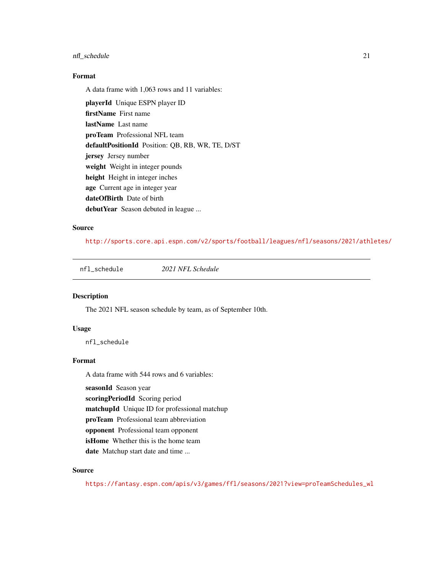#### <span id="page-20-0"></span>nfl\_schedule 21

#### Format

A data frame with 1,063 rows and 11 variables:

playerId Unique ESPN player ID firstName First name lastName Last name proTeam Professional NFL team defaultPositionId Position: QB, RB, WR, TE, D/ST jersey Jersey number weight Weight in integer pounds height Height in integer inches age Current age in integer year dateOfBirth Date of birth debutYear Season debuted in league ...

# Source

<http://sports.core.api.espn.com/v2/sports/football/leagues/nfl/seasons/2021/athletes/>

nfl\_schedule *2021 NFL Schedule*

#### Description

The 2021 NFL season schedule by team, as of September 10th.

#### Usage

nfl\_schedule

#### Format

A data frame with 544 rows and 6 variables:

seasonId Season year

scoringPeriodId Scoring period

matchupId Unique ID for professional matchup

proTeam Professional team abbreviation

opponent Professional team opponent

isHome Whether this is the home team

date Matchup start date and time ...

# Source

[https://fantasy.espn.com/apis/v3/games/ffl/seasons/2021?view=proTeamSchedules\\_wl](https://fantasy.espn.com/apis/v3/games/ffl/seasons/2021?view=proTeamSchedules_wl)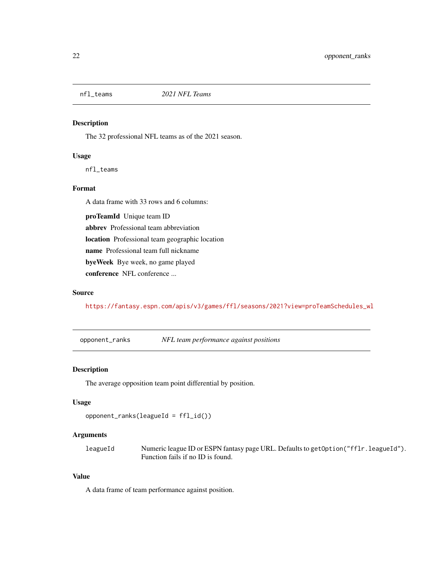<span id="page-21-0"></span>

The 32 professional NFL teams as of the 2021 season.

#### Usage

nfl\_teams

#### Format

A data frame with 33 rows and 6 columns:

proTeamId Unique team ID

abbrev Professional team abbreviation

location Professional team geographic location

name Professional team full nickname

byeWeek Bye week, no game played

conference NFL conference ...

#### Source

[https://fantasy.espn.com/apis/v3/games/ffl/seasons/2021?view=proTeamSchedules\\_wl](https://fantasy.espn.com/apis/v3/games/ffl/seasons/2021?view=proTeamSchedules_wl)

opponent\_ranks *NFL team performance against positions*

# Description

The average opposition team point differential by position.

# Usage

opponent\_ranks(leagueId = ffl\_id())

#### Arguments

leagueId Numeric league ID or ESPN fantasy page URL. Defaults to getOption("fflr.leagueId"). Function fails if no ID is found.

#### Value

A data frame of team performance against position.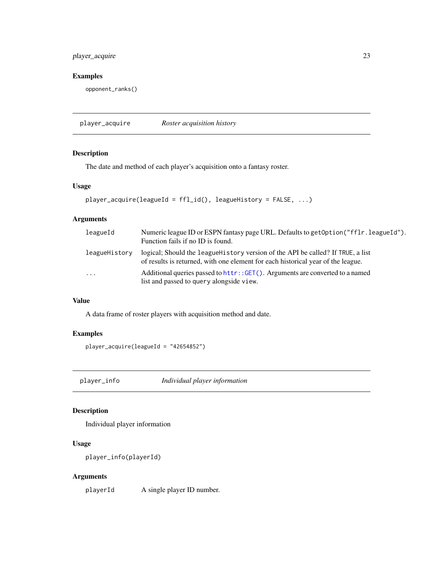# <span id="page-22-0"></span>player\_acquire 23

#### Examples

opponent\_ranks()

player\_acquire *Roster acquisition history*

# Description

The date and method of each player's acquisition onto a fantasy roster.

# Usage

```
player_acquire(leagueId = ffl_id(), leagueHistory = FALSE, ...)
```
# Arguments

| leagueId      | Numeric league ID or ESPN fantasy page URL. Defaults to get Option ("fflr. league Id").<br>Function fails if no ID is found.                                         |
|---------------|----------------------------------------------------------------------------------------------------------------------------------------------------------------------|
| leagueHistory | logical; Should the league History version of the API be called? If TRUE, a list<br>of results is returned, with one element for each historical year of the league. |
| $\cdots$      | Additional queries passed to httr::GET(). Arguments are converted to a named<br>list and passed to query alongside view.                                             |

#### Value

A data frame of roster players with acquisition method and date.

# Examples

player\_acquire(leagueId = "42654852")

<span id="page-22-1"></span>player\_info *Individual player information*

# Description

Individual player information

# Usage

```
player_info(playerId)
```
# Arguments

playerId A single player ID number.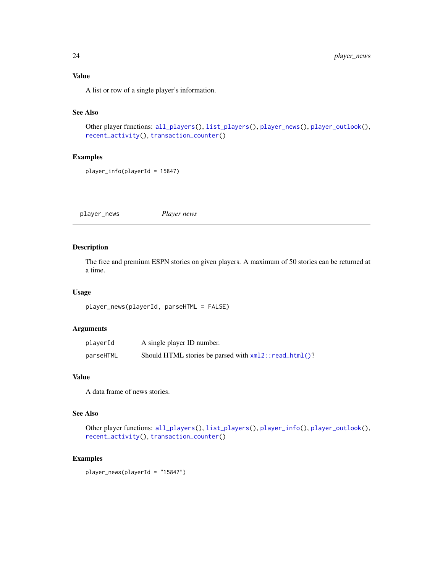<span id="page-23-0"></span>A list or row of a single player's information.

# See Also

```
Other player functions: all_players(), list_players(), player_news(), player_outlook(),
recent_activity(), transaction_counter()
```
# Examples

player\_info(playerId = 15847)

<span id="page-23-1"></span>player\_news *Player news*

#### Description

The free and premium ESPN stories on given players. A maximum of 50 stories can be returned at a time.

#### Usage

```
player_news(playerId, parseHTML = FALSE)
```
#### Arguments

| playerId  | A single player ID number.                               |
|-----------|----------------------------------------------------------|
| parseHTML | Should HTML stories be parsed with $xml2$ : read_html()? |

#### Value

A data frame of news stories.

#### See Also

Other player functions: [all\\_players\(](#page-2-2)), [list\\_players\(](#page-17-1)), [player\\_info\(](#page-22-1)), [player\\_outlook\(](#page-24-1)), [recent\\_activity\(](#page-26-1)), [transaction\\_counter\(](#page-35-2))

#### Examples

player\_news(playerId = "15847")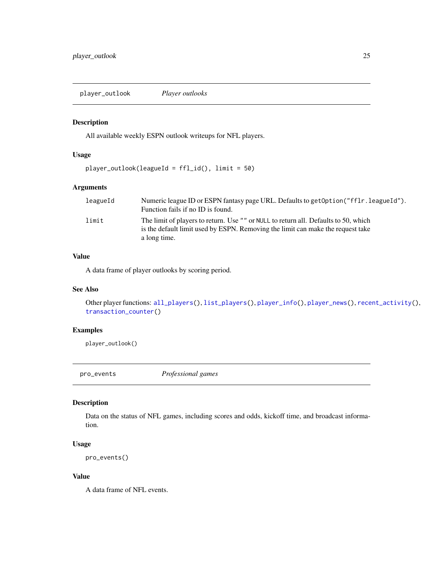<span id="page-24-1"></span><span id="page-24-0"></span>player\_outlook *Player outlooks*

#### Description

All available weekly ESPN outlook writeups for NFL players.

#### Usage

```
player_outlook(leagueId = ffl_id(), limit = 50)
```
# Arguments

| leagueId | Numeric league ID or ESPN fantasy page URL. Defaults to get Option ("fflr. league Id").                                                                                |
|----------|------------------------------------------------------------------------------------------------------------------------------------------------------------------------|
|          | Function fails if no ID is found.                                                                                                                                      |
| limit    | The limit of players to return. Use "" or NULL to return all. Defaults to 50, which<br>is the default limit used by ESPN. Removing the limit can make the request take |
|          | a long time.                                                                                                                                                           |

#### Value

A data frame of player outlooks by scoring period.

#### See Also

Other player functions: [all\\_players\(](#page-2-2)), [list\\_players\(](#page-17-1)), [player\\_info\(](#page-22-1)), [player\\_news\(](#page-23-1)), [recent\\_activity\(](#page-26-1)), [transaction\\_counter\(](#page-35-2))

# Examples

player\_outlook()

<span id="page-24-2"></span>pro\_events *Professional games*

#### Description

Data on the status of NFL games, including scores and odds, kickoff time, and broadcast information.

#### Usage

```
pro_events()
```
#### Value

A data frame of NFL events.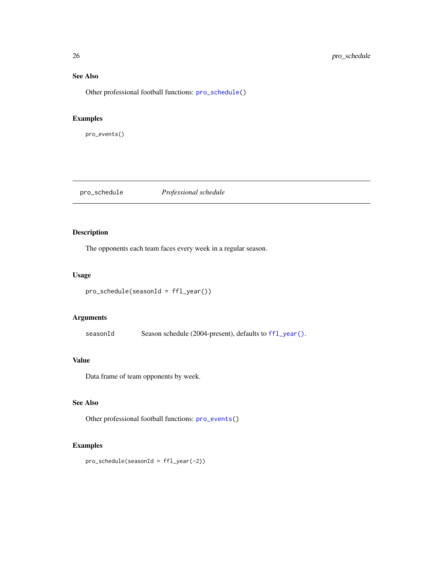# See Also

Other professional football functions: [pro\\_schedule\(](#page-25-1))

# Examples

pro\_events()

<span id="page-25-1"></span>pro\_schedule *Professional schedule*

# Description

The opponents each team faces every week in a regular season.

#### Usage

```
pro_schedule(seasonId = ffl_year())
```
# Arguments

seasonId Season schedule (2004-present), defaults to [ffl\\_year\(\)](#page-8-1).

# Value

Data frame of team opponents by week.

# See Also

Other professional football functions: [pro\\_events\(](#page-24-2))

# Examples

pro\_schedule(seasonId = ffl\_year(-2))

<span id="page-25-0"></span>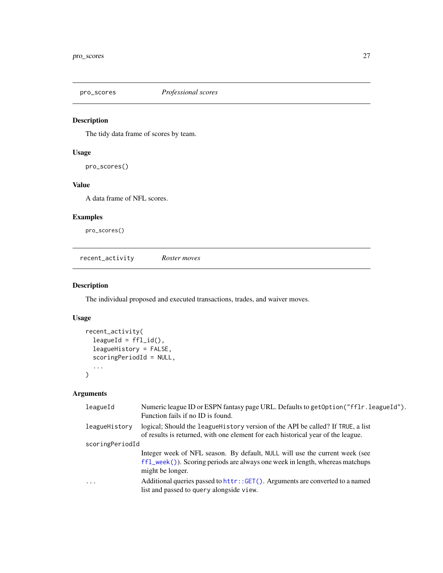<span id="page-26-0"></span>

The tidy data frame of scores by team.

# Usage

pro\_scores()

#### Value

A data frame of NFL scores.

# Examples

pro\_scores()

<span id="page-26-1"></span>recent\_activity *Roster moves*

# Description

The individual proposed and executed transactions, trades, and waiver moves.

# Usage

```
recent_activity(
  leagueId = ff1_id(),leagueHistory = FALSE,
  scoringPeriodId = NULL,
  ...
)
```
# Arguments

| leagueId        | Numeric league ID or ESPN fantasy page URL. Defaults to get Option ("fflr. league Id").<br>Function fails if no ID is found.                                                               |
|-----------------|--------------------------------------------------------------------------------------------------------------------------------------------------------------------------------------------|
| leagueHistory   | logical; Should the league History version of the API be called? If TRUE, a list<br>of results is returned, with one element for each historical year of the league.                       |
| scoringPeriodId |                                                                                                                                                                                            |
|                 | Integer week of NFL season. By default, NULL will use the current week (see<br>$f1_{\text{week}}()$ ). Scoring periods are always one week in length, whereas matchups<br>might be longer. |
| .               | Additional queries passed to httr::GET(). Arguments are converted to a named<br>list and passed to query alongside view.                                                                   |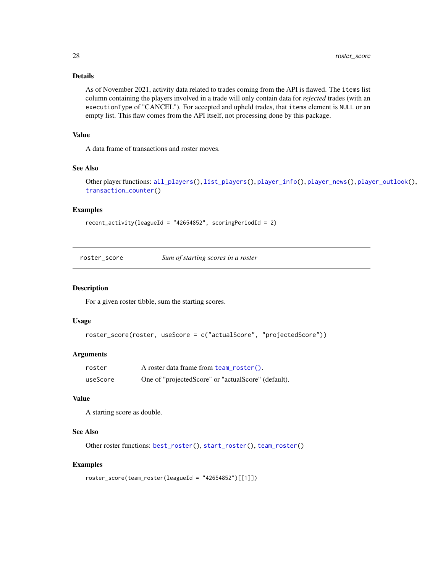# Details

As of November 2021, activity data related to trades coming from the API is flawed. The items list column containing the players involved in a trade will only contain data for *rejected* trades (with an executionType of "CANCEL"). For accepted and upheld trades, that items element is NULL or an empty list. This flaw comes from the API itself, not processing done by this package.

#### Value

A data frame of transactions and roster moves.

#### See Also

```
Other player functions: all_players(), list_players(), player_info(), player_news(), player_outlook(),
transaction_counter()
```
#### Examples

```
recent_activity(leagueId = "42654852", scoringPeriodId = 2)
```
<span id="page-27-1"></span>roster\_score *Sum of starting scores in a roster*

#### Description

For a given roster tibble, sum the starting scores.

#### Usage

```
roster_score(roster, useScore = c("actualScore", "projectedScore"))
```
#### Arguments

| roster   | A roster data frame from team_roster().             |
|----------|-----------------------------------------------------|
| useScore | One of "projectedScore" or "actualScore" (default). |

#### Value

A starting score as double.

#### See Also

Other roster functions: [best\\_roster\(](#page-3-1)), [start\\_roster\(](#page-30-1)), [team\\_roster\(](#page-32-1))

# Examples

```
roster_score(team_roster(leagueId = "42654852")[[1]])
```
<span id="page-27-0"></span>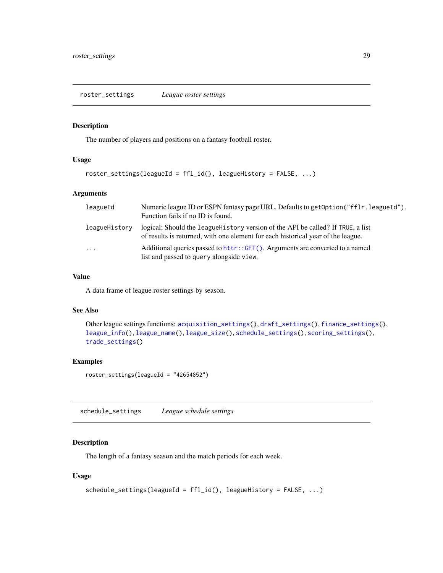<span id="page-28-1"></span><span id="page-28-0"></span>roster\_settings *League roster settings*

#### Description

The number of players and positions on a fantasy football roster.

# Usage

```
roster_settings(leagueId = ffl_id(), leagueHistory = FALSE, ...)
```
#### Arguments

| leagueId      | Numeric league ID or ESPN fantasy page URL. Defaults to get Option ("ff Ir. league Id").<br>Function fails if no ID is found.                                        |
|---------------|----------------------------------------------------------------------------------------------------------------------------------------------------------------------|
| leagueHistory | logical; Should the league History version of the API be called? If TRUE, a list<br>of results is returned, with one element for each historical year of the league. |
| $\ddots$ .    | Additional queries passed to httr::GET(). Arguments are converted to a named<br>list and passed to query alongside view.                                             |

#### Value

A data frame of league roster settings by season.

# See Also

```
Other league settings functions: acquisition_settings(), draft_settings(), finance_settings(),
league_info(), league_name(), league_size(), schedule_settings(), scoring_settings(),
trade_settings()
```
#### Examples

roster\_settings(leagueId = "42654852")

<span id="page-28-2"></span>schedule\_settings *League schedule settings*

#### Description

The length of a fantasy season and the match periods for each week.

#### Usage

```
schedule_settings(leagueId = ffl_id(), leagueHistory = FALSE, ...)
```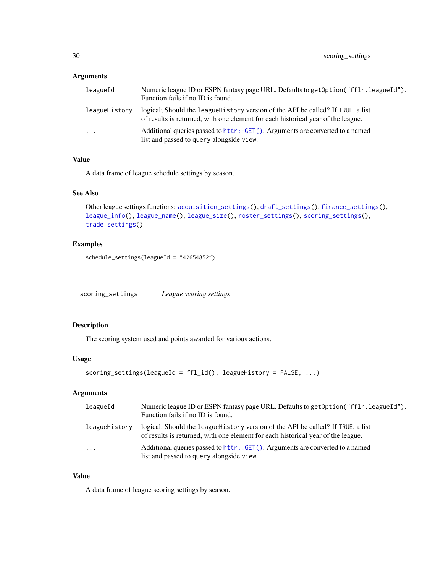# <span id="page-29-0"></span>Arguments

| leagueId            | Numeric league ID or ESPN fantasy page URL. Defaults to get Option ("fflr. league Id").<br>Function fails if no ID is found.                                         |
|---------------------|----------------------------------------------------------------------------------------------------------------------------------------------------------------------|
| leagueHistory       | logical; Should the league History version of the API be called? If TRUE, a list<br>of results is returned, with one element for each historical year of the league. |
| $\cdot \cdot \cdot$ | Additional queries passed to httr: : GET(). Arguments are converted to a named<br>list and passed to query alongside view.                                           |

# Value

A data frame of league schedule settings by season.

#### See Also

Other league settings functions: [acquisition\\_settings\(](#page-2-1)), [draft\\_settings\(](#page-5-1)), [finance\\_settings\(](#page-9-1)), [league\\_info\(](#page-10-1)), [league\\_name\(](#page-12-1)), [league\\_size\(](#page-14-1)), [roster\\_settings\(](#page-28-1)), [scoring\\_settings\(](#page-29-1)), [trade\\_settings\(](#page-35-1))

#### Examples

schedule\_settings(leagueId = "42654852")

<span id="page-29-1"></span>scoring\_settings *League scoring settings*

# Description

The scoring system used and points awarded for various actions.

#### Usage

```
scoring_settings(leagueId = ffl_id(), leagueHistory = FALSE, ...)
```
# Arguments

| leagueId      | Numeric league ID or ESPN fantasy page URL. Defaults to get Option ("ff Ir. league Id").<br>Function fails if no ID is found.                                        |
|---------------|----------------------------------------------------------------------------------------------------------------------------------------------------------------------|
| leagueHistory | logical; Should the league History version of the API be called? If TRUE, a list<br>of results is returned, with one element for each historical year of the league. |
| $\cdots$      | Additional queries passed to httr:: GET(). Arguments are converted to a named<br>list and passed to query alongside view.                                            |

#### Value

A data frame of league scoring settings by season.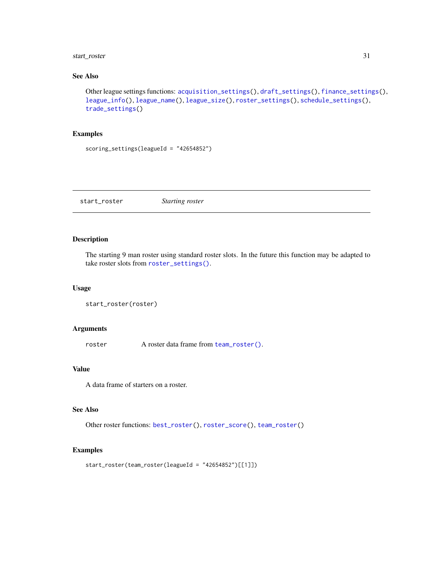# <span id="page-30-0"></span>start\_roster 31

# See Also

```
Other league settings functions: acquisition_settings(), draft_settings(), finance_settings(),
league_info(), league_name(), league_size(), roster_settings(), schedule_settings(),
trade_settings()
```
#### Examples

```
scoring_settings(leagueId = "42654852")
```
<span id="page-30-1"></span>start\_roster *Starting roster*

#### Description

The starting 9 man roster using standard roster slots. In the future this function may be adapted to take roster slots from [roster\\_settings\(\)](#page-28-1).

#### Usage

```
start_roster(roster)
```
#### Arguments

roster A roster data frame from [team\\_roster\(\)](#page-32-1).

#### Value

A data frame of starters on a roster.

# See Also

Other roster functions: [best\\_roster\(](#page-3-1)), [roster\\_score\(](#page-27-1)), [team\\_roster\(](#page-32-1))

#### Examples

start\_roster(team\_roster(leagueId = "42654852")[[1]])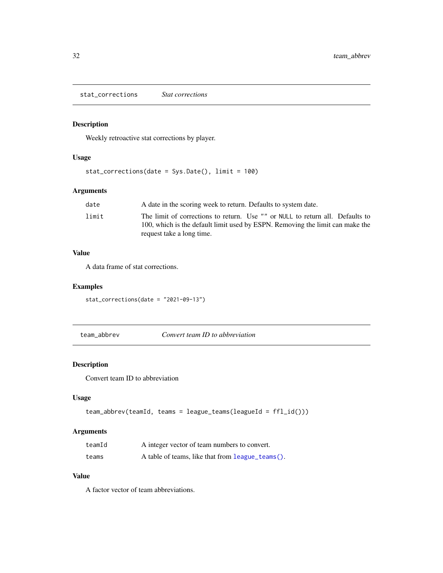<span id="page-31-0"></span>stat\_corrections *Stat corrections*

# Description

Weekly retroactive stat corrections by player.

#### Usage

```
stat_corrections(date = Sys.Date(), limit = 100)
```
# Arguments

| date  | A date in the scoring week to return. Defaults to system date.                                                                                                                              |
|-------|---------------------------------------------------------------------------------------------------------------------------------------------------------------------------------------------|
| limit | The limit of corrections to return. Use "" or NULL to return all. Defaults to<br>100, which is the default limit used by ESPN. Removing the limit can make the<br>request take a long time. |
|       |                                                                                                                                                                                             |

# Value

A data frame of stat corrections.

# Examples

stat\_corrections(date = "2021-09-13")

team\_abbrev *Convert team ID to abbreviation*

# Description

Convert team ID to abbreviation

# Usage

```
team_abbrev(teamId, teams = league_teams(leagueId = ffl_id()))
```
# Arguments

| teamId | A integer vector of team numbers to convert.     |
|--------|--------------------------------------------------|
| teams  | A table of teams, like that from league_teams(). |

#### Value

A factor vector of team abbreviations.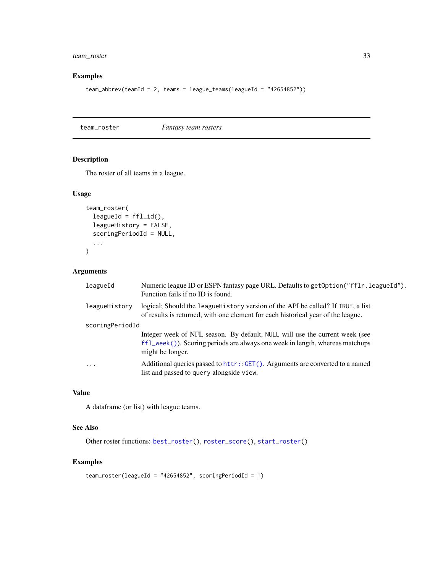# <span id="page-32-0"></span>team\_roster 33

# Examples

```
team_abbrev(teamId = 2, teams = league_teams(leagueId = "42654852"))
```
<span id="page-32-1"></span>team\_roster *Fantasy team rosters*

# Description

The roster of all teams in a league.

#### Usage

```
team_roster(
  leagueId = ff1_id(),leagueHistory = FALSE,
  scoringPeriodId = NULL,
  ...
\mathcal{L}
```
#### Arguments

| leagueId        | Numeric league ID or ESPN fantasy page URL. Defaults to get Option ("fflr. league Id").<br>Function fails if no ID is found.                                                               |
|-----------------|--------------------------------------------------------------------------------------------------------------------------------------------------------------------------------------------|
| leagueHistory   | logical; Should the league History version of the API be called? If TRUE, a list<br>of results is returned, with one element for each historical year of the league.                       |
| scoringPeriodId |                                                                                                                                                                                            |
|                 | Integer week of NFL season. By default, NULL will use the current week (see<br>$f1_{\text{week}}()$ ). Scoring periods are always one week in length, whereas matchups<br>might be longer. |
| .               | Additional queries passed to httr::GET(). Arguments are converted to a named<br>list and passed to query alongside view.                                                                   |

#### Value

A dataframe (or list) with league teams.

# See Also

```
Other roster functions: best_roster(), roster_score(), start_roster()
```
#### Examples

```
team_roster(leagueId = "42654852", scoringPeriodId = 1)
```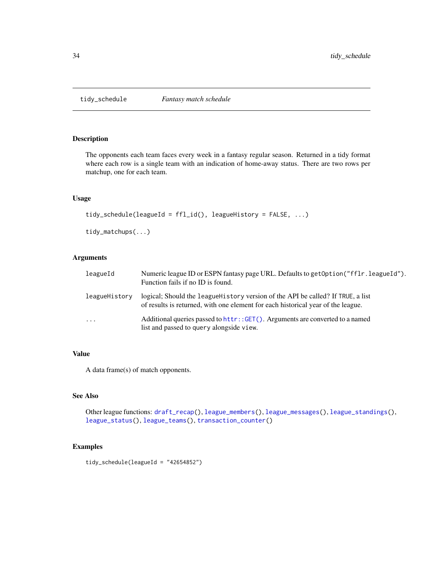<span id="page-33-1"></span><span id="page-33-0"></span>

The opponents each team faces every week in a fantasy regular season. Returned in a tidy format where each row is a single team with an indication of home-away status. There are two rows per matchup, one for each team.

#### Usage

```
tidy_schedule(leagueId = ffl_id(), leagueHistory = FALSE, ...)
```
tidy\_matchups(...)

#### Arguments

| leagueId      | Numeric league ID or ESPN fantasy page URL. Defaults to get Option ("fflr. league Id").<br>Function fails if no ID is found.                                         |
|---------------|----------------------------------------------------------------------------------------------------------------------------------------------------------------------|
| leagueHistory | logical; Should the league History version of the API be called? If TRUE, a list<br>of results is returned, with one element for each historical year of the league. |
| $\ddots$      | Additional queries passed to httr::GET(). Arguments are converted to a named<br>list and passed to query alongside view.                                             |

# Value

A data frame(s) of match opponents.

#### See Also

Other league functions: [draft\\_recap\(](#page-5-2)), [league\\_members\(](#page-11-1)), [league\\_messages\(](#page-11-2)), [league\\_standings\(](#page-14-2)), [league\\_status\(](#page-15-1)), [league\\_teams\(](#page-16-1)), [transaction\\_counter\(](#page-35-2))

# Examples

tidy\_schedule(leagueId = "42654852")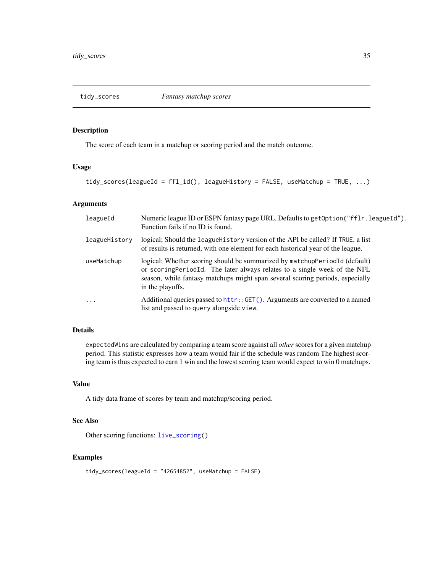<span id="page-34-1"></span><span id="page-34-0"></span>

The score of each team in a matchup or scoring period and the match outcome.

#### Usage

tidy\_scores(leagueId = ffl\_id(), leagueHistory = FALSE, useMatchup = TRUE, ...)

#### Arguments

| leagueId      | Numeric league ID or ESPN fantasy page URL. Defaults to get Option ("fflr. league Id").<br>Function fails if no ID is found.                                                                                                                                |
|---------------|-------------------------------------------------------------------------------------------------------------------------------------------------------------------------------------------------------------------------------------------------------------|
| leagueHistory | logical; Should the league History version of the API be called? If TRUE, a list<br>of results is returned, with one element for each historical year of the league.                                                                                        |
| useMatchup    | logical; Whether scoring should be summarized by matchupPeriodId (default)<br>or scoringPeriodId. The later always relates to a single week of the NFL<br>season, while fantasy matchups might span several scoring periods, especially<br>in the playoffs. |
| $\cdot$       | Additional queries passed to httr:: GET(). Arguments are converted to a named<br>list and passed to query alongside view.                                                                                                                                   |

#### Details

expectedWins are calculated by comparing a team score against all *other* scores for a given matchup period. This statistic expresses how a team would fair if the schedule was random The highest scoring team is thus expected to earn 1 win and the lowest scoring team would expect to win 0 matchups.

#### Value

A tidy data frame of scores by team and matchup/scoring period.

#### See Also

```
Other scoring functions: live_scoring()
```
#### Examples

```
tidy_scores(leagueId = "42654852", useMatchup = FALSE)
```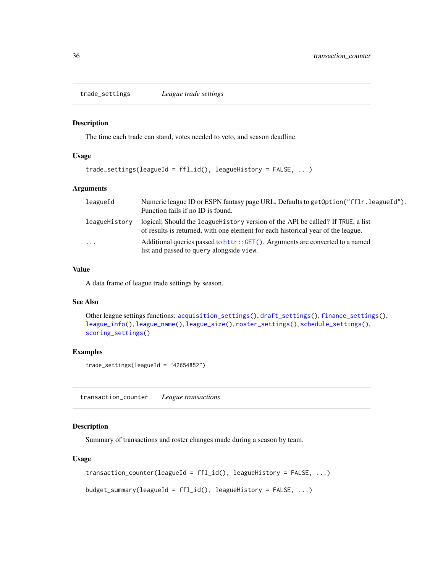<span id="page-35-1"></span><span id="page-35-0"></span>trade\_settings *League trade settings*

# Description

The time each trade can stand, votes needed to veto, and season deadline.

#### Usage

```
trade_settings(leagueId = ffl_id(), leagueHistory = FALSE, ...)
```
#### Arguments

| leagueId      | Numeric league ID or ESPN fantasy page URL. Defaults to get Option ("fflr. league Id").<br>Function fails if no ID is found.                                         |
|---------------|----------------------------------------------------------------------------------------------------------------------------------------------------------------------|
| leagueHistory | logical; Should the league History version of the API be called? If TRUE, a list<br>of results is returned, with one element for each historical year of the league. |
| $\cdots$      | Additional queries passed to httr:: GET(). Arguments are converted to a named<br>list and passed to query alongside view.                                            |

#### Value

A data frame of league trade settings by season.

#### See Also

```
Other league settings functions: acquisition_settings(), draft_settings(), finance_settings(),
league_info(), league_name(), league_size(), roster_settings(), schedule_settings(),
scoring_settings()
```
#### Examples

trade\_settings(leagueId = "42654852")

<span id="page-35-2"></span>transaction\_counter *League transactions*

# Description

Summary of transactions and roster changes made during a season by team.

#### Usage

```
transaction_counter(leagueId = ffl_id(), leagueHistory = FALSE, ...)
```
budget\_summary(leagueId = ffl\_id(), leagueHistory = FALSE, ...)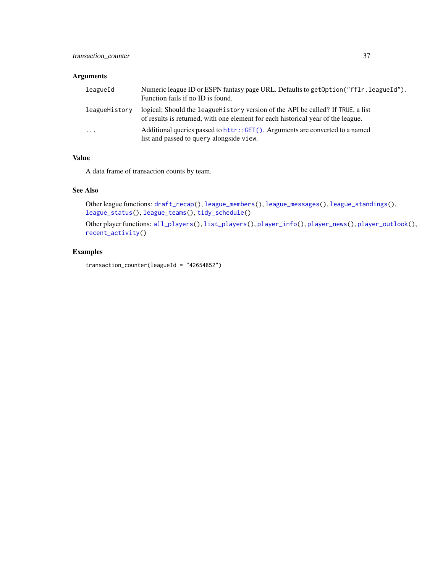# <span id="page-36-0"></span>Arguments

| leagueId      | Numeric league ID or ESPN fantasy page URL. Defaults to get Option ("fflr. league Id").<br>Function fails if no ID is found.                                         |
|---------------|----------------------------------------------------------------------------------------------------------------------------------------------------------------------|
| leagueHistory | logical; Should the league History version of the API be called? If TRUE, a list<br>of results is returned, with one element for each historical year of the league. |
| $\cdots$      | Additional queries passed to httr::GET(). Arguments are converted to a named<br>list and passed to query alongside view.                                             |

# Value

A data frame of transaction counts by team.

# See Also

```
Other league functions: draft_recap(), league_members(), league_messages(), league_standings(),
league_status(), league_teams(), tidy_schedule()
```

```
Other player functions: all_players(), list_players(), player_info(), player_news(), player_outlook(),
recent_activity()
```
# Examples

transaction\_counter(leagueId = "42654852")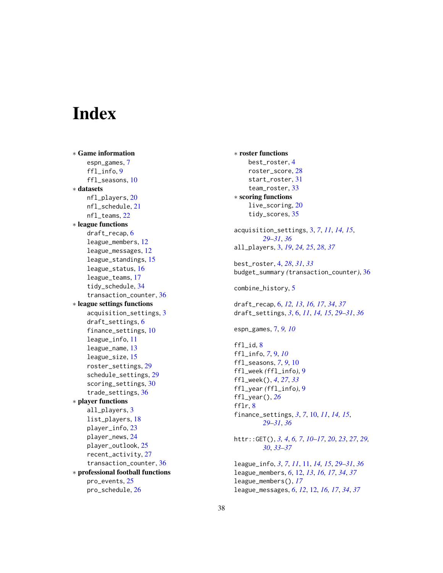# <span id="page-37-0"></span>**Index**

∗ Game information espn\_games, [7](#page-6-0) ffl\_info, [9](#page-8-0) ffl\_seasons, [10](#page-9-0) ∗ datasets nfl\_players, [20](#page-19-0) nfl\_schedule, [21](#page-20-0) nfl\_teams, [22](#page-21-0) ∗ league functions draft\_recap, [6](#page-5-0) league\_members, [12](#page-11-0) league\_messages, [12](#page-11-0) league\_standings, [15](#page-14-0) league\_status, [16](#page-15-0) league\_teams, [17](#page-16-0) tidy\_schedule, [34](#page-33-0) transaction\_counter, [36](#page-35-0) ∗ league settings functions acquisition\_settings, [3](#page-2-0) draft\_settings, [6](#page-5-0) finance\_settings, [10](#page-9-0) league\_info, [11](#page-10-0) league\_name, [13](#page-12-0) league\_size, [15](#page-14-0) roster\_settings, [29](#page-28-0) schedule\_settings, [29](#page-28-0) scoring\_settings, [30](#page-29-0) trade\_settings, [36](#page-35-0) ∗ player functions all\_players, [3](#page-2-0) list\_players, [18](#page-17-0) player\_info, [23](#page-22-0) player\_news, [24](#page-23-0) player\_outlook, [25](#page-24-0) recent\_activity, [27](#page-26-0) transaction\_counter, [36](#page-35-0) ∗ professional football functions pro\_events, [25](#page-24-0) pro\_schedule, [26](#page-25-0)

∗ roster functions best\_roster, [4](#page-3-0) roster\_score, [28](#page-27-0) start\_roster, [31](#page-30-0) team\_roster, [33](#page-32-0) ∗ scoring functions live\_scoring, [20](#page-19-0) tidy\_scores, [35](#page-34-0) acquisition\_settings, [3,](#page-2-0) *[7](#page-6-0)*, *[11](#page-10-0)*, *[14,](#page-13-0) [15](#page-14-0)*, *[29](#page-28-0)[–31](#page-30-0)*, *[36](#page-35-0)* all\_players, [3,](#page-2-0) *[19](#page-18-0)*, *[24,](#page-23-0) [25](#page-24-0)*, *[28](#page-27-0)*, *[37](#page-36-0)* best\_roster, [4,](#page-3-0) *[28](#page-27-0)*, *[31](#page-30-0)*, *[33](#page-32-0)* budget\_summary *(*transaction\_counter*)*, [36](#page-35-0) combine\_history, [5](#page-4-0) draft\_recap, [6,](#page-5-0) *[12,](#page-11-0) [13](#page-12-0)*, *[16,](#page-15-0) [17](#page-16-0)*, *[34](#page-33-0)*, *[37](#page-36-0)* draft\_settings, *[3](#page-2-0)*, [6,](#page-5-0) *[11](#page-10-0)*, *[14,](#page-13-0) [15](#page-14-0)*, *[29](#page-28-0)[–31](#page-30-0)*, *[36](#page-35-0)* espn\_games, [7,](#page-6-0) *[9,](#page-8-0) [10](#page-9-0)*  $ff1$ \_id,  $8$ ffl\_info, *[7](#page-6-0)*, [9,](#page-8-0) *[10](#page-9-0)* ffl\_seasons, *[7](#page-6-0)*, *[9](#page-8-0)*, [10](#page-9-0) ffl\_week *(*ffl\_info*)*, [9](#page-8-0) ffl\_week(), *[4](#page-3-0)*, *[27](#page-26-0)*, *[33](#page-32-0)* ffl\_year *(*ffl\_info*)*, [9](#page-8-0) ffl\_year(), *[26](#page-25-0)* fflr, [8](#page-7-0) finance\_settings, *[3](#page-2-0)*, *[7](#page-6-0)*, [10,](#page-9-0) *[11](#page-10-0)*, *[14,](#page-13-0) [15](#page-14-0)*, *[29](#page-28-0)[–31](#page-30-0)*, *[36](#page-35-0)* httr::GET(), *[3,](#page-2-0) [4](#page-3-0)*, *[6,](#page-5-0) [7](#page-6-0)*, *[10](#page-9-0)[–17](#page-16-0)*, *[20](#page-19-0)*, *[23](#page-22-0)*, *[27](#page-26-0)*, *[29,](#page-28-0) [30](#page-29-0)*, *[33](#page-32-0)[–37](#page-36-0)* league\_info, *[3](#page-2-0)*, *[7](#page-6-0)*, *[11](#page-10-0)*, [11,](#page-10-0) *[14,](#page-13-0) [15](#page-14-0)*, *[29](#page-28-0)[–31](#page-30-0)*, *[36](#page-35-0)* league\_members, *[6](#page-5-0)*, [12,](#page-11-0) *[13](#page-12-0)*, *[16,](#page-15-0) [17](#page-16-0)*, *[34](#page-33-0)*, *[37](#page-36-0)* league\_members(), *[17](#page-16-0)* league\_messages, *[6](#page-5-0)*, *[12](#page-11-0)*, [12,](#page-11-0) *[16,](#page-15-0) [17](#page-16-0)*, *[34](#page-33-0)*, *[37](#page-36-0)*